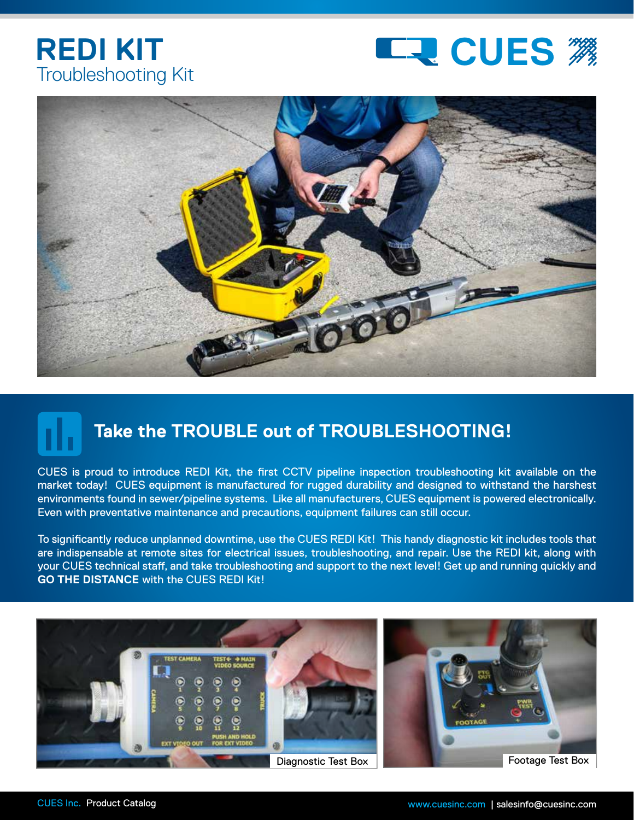## Troubleshooting Kit **REDI KIT**





## **Take the TROUBLE out of TROUBLESHOOTING!**

CUES is proud to introduce REDI Kit, the first CCTV pipeline inspection troubleshooting kit available on the market today! CUES equipment is manufactured for rugged durability and designed to withstand the harshest environments found in sewer/pipeline systems. Like all manufacturers, CUES equipment is powered electronically. Even with preventative maintenance and precautions, equipment failures can still occur.

To significantly reduce unplanned downtime, use the CUES REDI Kit! This handy diagnostic kit includes tools that are indispensable at remote sites for electrical issues, troubleshooting, and repair. Use the REDI kit, along with your CUES technical staff, and take troubleshooting and support to the next level! Get up and running quickly and **GO THE DISTANCE** with the CUES REDI Kit!